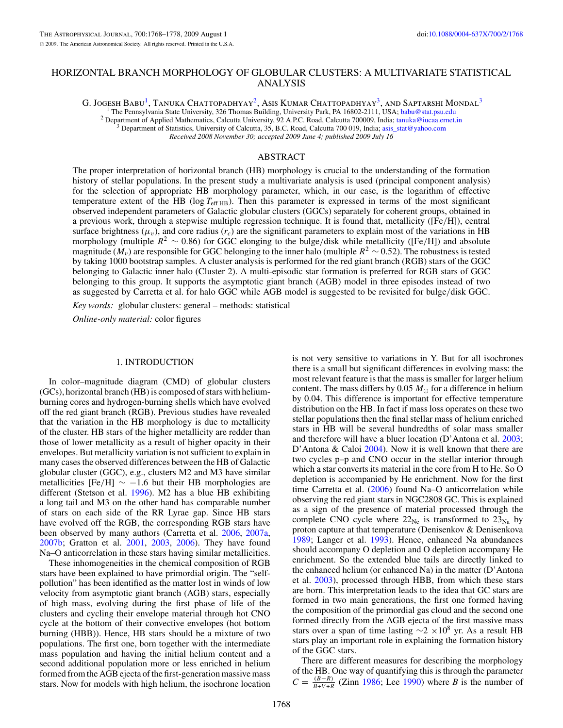# HORIZONTAL BRANCH MORPHOLOGY OF GLOBULAR CLUSTERS: A MULTIVARIATE STATISTICAL ANALYSIS

G. JOGESH BABU<sup>1</sup>, Tanuka Chattopadhyay<sup>2</sup>, Asis Kumar Chattopadhyay<sup>3</sup>, and Saptarshi Mondal<sup>3</sup>

<sup>1</sup> The Pennsylvania State University, 326 Thomas Building, University Park, PA 16802-2111, USA; [babu@stat.psu.edu](mailto:babu@stat.psu.edu) <sup>2</sup> Department of Applied Mathematics, Calcutta University, 92 A.P.C. Road, Calcutta 700009, India; tanuka

*Received 2008 November 30; accepted 2009 June 4; published 2009 July 16*

## ABSTRACT

The proper interpretation of horizontal branch (HB) morphology is crucial to the understanding of the formation history of stellar populations. In the present study a multivariate analysis is used (principal component analysis) for the selection of appropriate HB morphology parameter, which, in our case, is the logarithm of effective temperature extent of the HB ( $log T_{\text{eff HB}}$ ). Then this parameter is expressed in terms of the most significant observed independent parameters of Galactic globular clusters (GGCs) separately for coherent groups, obtained in a previous work, through a stepwise multiple regression technique. It is found that, metallicity ([Fe*/*H]), central surface brightness ( $\mu$ <sub>v</sub>), and core radius ( $r_c$ ) are the significant parameters to explain most of the variations in HB morphology (multiple *R*<sup>2</sup> ∼ 0.86) for GGC elonging to the bulge*/*disk while metallicity ([Fe*/*H]) and absolute magnitude ( $M_v$ ) are responsible for GGC belonging to the inner halo (multiple  $R^2 \sim 0.52$ ). The robustness is tested by taking 1000 bootstrap samples. A cluster analysis is performed for the red giant branch (RGB) stars of the GGC belonging to Galactic inner halo (Cluster 2). A multi-episodic star formation is preferred for RGB stars of GGC belonging to this group. It supports the asymptotic giant branch (AGB) model in three episodes instead of two as suggested by Carretta et al. for halo GGC while AGB model is suggested to be revisited for bulge*/*disk GGC.

*Key words:* globular clusters: general – methods: statistical

*Online-only material:* color figures

### 1. INTRODUCTION

In color–magnitude diagram (CMD) of globular clusters (GCs), horizontal branch (HB) is composed of stars with heliumburning cores and hydrogen-burning shells which have evolved off the red giant branch (RGB). Previous studies have revealed that the variation in the HB morphology is due to metallicity of the cluster. HB stars of the higher metallicity are redder than those of lower metallicity as a result of higher opacity in their envelopes. But metallicity variation is not sufficient to explain in many cases the observed differences between the HB of Galactic globular cluster (GGC), e.g., clusters M2 and M3 have similar metallicities  $[Fe/H] \sim -1.6$  but their HB morphologies are different (Stetson et al. [1996\)](#page-10-0). M2 has a blue HB exhibiting a long tail and M3 on the other hand has comparable number of stars on each side of the RR Lyrae gap. Since HB stars have evolved off the RGB, the corresponding RGB stars have been observed by many authors (Carretta et al. [2006,](#page-9-0) [2007a,](#page-10-0) [2007b;](#page-10-0) Gratton et al. [2001,](#page-10-0) [2003,](#page-10-0) [2006\)](#page-10-0). They have found Na–O anticorrelation in these stars having similar metallicities.

These inhomogeneities in the chemical composition of RGB stars have been explained to have primordial origin. The "selfpollution" has been identified as the matter lost in winds of low velocity from asymptotic giant branch (AGB) stars, especially of high mass, evolving during the first phase of life of the clusters and cycling their envelope material through hot CNO cycle at the bottom of their convective envelopes (hot bottom burning (HBB)). Hence, HB stars should be a mixture of two populations. The first one, born together with the intermediate mass population and having the initial helium content and a second additional population more or less enriched in helium formed from the AGB ejecta of the first-generation massive mass stars. Now for models with high helium, the isochrone location

is not very sensitive to variations in Y. But for all isochrones there is a small but significant differences in evolving mass: the most relevant feature is that the mass is smaller for larger helium content. The mass differs by 0.05  $M_{\odot}$  for a difference in helium by 0.04. This difference is important for effective temperature distribution on the HB. In fact if mass loss operates on these two stellar populations then the final stellar mass of helium enriched stars in HB will be several hundredths of solar mass smaller and therefore will have a bluer location (D'Antona et al. [2003;](#page-10-0) D'Antona & Caloi [2004\)](#page-10-0). Now it is well known that there are two cycles p–p and CNO occur in the stellar interior through which a star converts its material in the core from H to He. So O depletion is accompanied by He enrichment. Now for the first time Carretta et al. [\(2006\)](#page-9-0) found Na–O anticorrelation while observing the red giant stars in NGC2808 GC. This is explained as a sign of the presence of material processed through the complete CNO cycle where  $22_{\text{Ne}}$  is transformed to  $23_{\text{Na}}$  by proton capture at that temperature (Denisenkov & Denisenkova [1989;](#page-10-0) Langer et al. [1993\)](#page-10-0). Hence, enhanced Na abundances should accompany O depletion and O depletion accompany He enrichment. So the extended blue tails are directly linked to the enhanced helium (or enhanced Na) in the matter (D'Antona et al. [2003\)](#page-10-0), processed through HBB, from which these stars are born. This interpretation leads to the idea that GC stars are formed in two main generations, the first one formed having the composition of the primordial gas cloud and the second one formed directly from the AGB ejecta of the first massive mass stars over a span of time lasting  $\sim$ 2 ×10<sup>8</sup> yr. As a result HB stars play an important role in explaining the formation history of the GGC stars.

There are different measures for describing the morphology of the HB. One way of quantifying this is through the parameter  $C = \frac{(B-R)}{B+V+R}$  (Zinn [1986;](#page-10-0) Lee [1990\)](#page-10-0) where *B* is the number of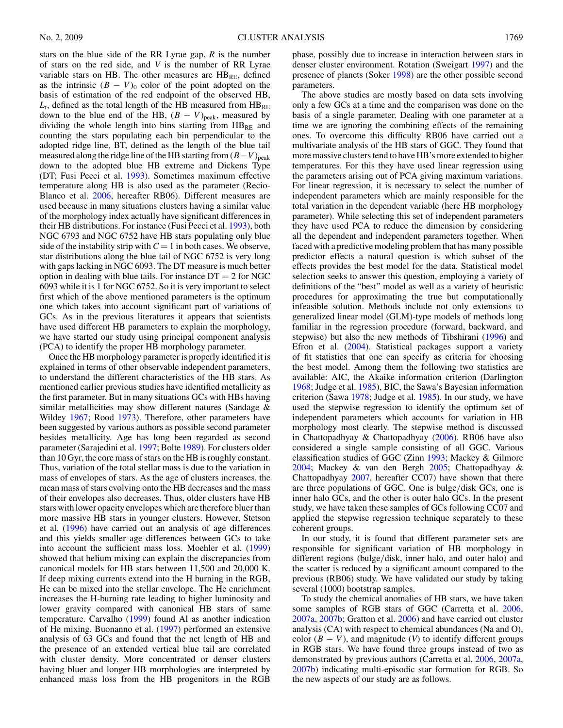stars on the blue side of the RR Lyrae gap, *R* is the number of stars on the red side, and *V* is the number of RR Lyrae variable stars on HB. The other measures are  $HB_{RE}$ , defined as the intrinsic  $(B - V)_0$  color of the point adopted on the basis of estimation of the red endpoint of the observed HB,  $L_t$ , defined as the total length of the HB measured from  $H\text{B}_{\text{RE}}$ down to the blue end of the HB,  $(B - V)_{peak}$ , measured by dividing the whole length into bins starting from  $HB_{RE}$  and counting the stars populating each bin perpendicular to the adopted ridge line, BT, defined as the length of the blue tail measured along the ridge line of the HB starting from  $(B-V)_{peak}$ down to the adopted blue HB extreme and Dickens Type (DT; Fusi Pecci et al. [1993\)](#page-10-0). Sometimes maximum effective temperature along HB is also used as the parameter (Recio-Blanco et al. [2006,](#page-10-0) hereafter RB06). Different measures are used because in many situations clusters having a similar value of the morphology index actually have significant differences in their HB distributions. For instance (Fusi Pecci et al. [1993\)](#page-10-0), both NGC 6793 and NGC 6752 have HB stars populating only blue side of the instability strip with  $C = 1$  in both cases. We observe, star distributions along the blue tail of NGC 6752 is very long with gaps lacking in NGC 6093. The DT measure is much better option in dealing with blue tails. For instance  $DT = 2$  for NGC 6093 while it is 1 for NGC 6752. So it is very important to select first which of the above mentioned parameters is the optimum one which takes into account significant part of variations of GCs. As in the previous literatures it appears that scientists have used different HB parameters to explain the morphology, we have started our study using principal component analysis (PCA) to identify the proper HB morphology parameter.

Once the HB morphology parameter is properly identified it is explained in terms of other observable independent parameters, to understand the different characteristics of the HB stars. As mentioned earlier previous studies have identified metallicity as the first parameter. But in many situations GCs with HBs having similar metallicities may show different natures (Sandage & Wildey [1967;](#page-10-0) Rood [1973\)](#page-10-0). Therefore, other parameters have been suggested by various authors as possible second parameter besides metallicity. Age has long been regarded as second parameter (Sarajedini et al. [1997;](#page-10-0) Bolte [1989\)](#page-9-0). For clusters older than 10 Gyr, the core mass of stars on the HB is roughly constant. Thus, variation of the total stellar mass is due to the variation in mass of envelopes of stars. As the age of clusters increases, the mean mass of stars evolving onto the HB decreases and the mass of their envelopes also decreases. Thus, older clusters have HB stars with lower opacity envelopes which are therefore bluer than more massive HB stars in younger clusters. However, Stetson et al. [\(1996\)](#page-10-0) have carried out an analysis of age differences and this yields smaller age differences between GCs to take into account the sufficient mass loss. Moehler et al. [\(1999\)](#page-10-0) showed that helium mixing can explain the discrepancies from canonical models for HB stars between 11,500 and 20,000 K. If deep mixing currents extend into the H burning in the RGB, He can be mixed into the stellar envelope. The He enrichment increases the H-burning rate leading to higher luminosity and lower gravity compared with canonical HB stars of same temperature. Carvalho [\(1999\)](#page-10-0) found Al as another indication of He mixing. Buonanno et al. [\(1997\)](#page-9-0) performed an extensive analysis of 63 GCs and found that the net length of HB and the presence of an extended vertical blue tail are correlated with cluster density. More concentrated or denser clusters having bluer and longer HB morphologies are interpreted by enhanced mass loss from the HB progenitors in the RGB

phase, possibly due to increase in interaction between stars in denser cluster environment. Rotation (Sweigart [1997\)](#page-10-0) and the presence of planets (Soker [1998\)](#page-10-0) are the other possible second parameters.

The above studies are mostly based on data sets involving only a few GCs at a time and the comparison was done on the basis of a single parameter. Dealing with one parameter at a time we are ignoring the combining effects of the remaining ones. To overcome this difficulty RB06 have carried out a multivariate analysis of the HB stars of GGC. They found that more massive clusters tend to have HB's more extended to higher temperatures. For this they have used linear regression using the parameters arising out of PCA giving maximum variations. For linear regression, it is necessary to select the number of independent parameters which are mainly responsible for the total variation in the dependent variable (here HB morphology parameter). While selecting this set of independent parameters they have used PCA to reduce the dimension by considering all the dependent and independent parameters together. When faced with a predictive modeling problem that has many possible predictor effects a natural question is which subset of the effects provides the best model for the data. Statistical model selection seeks to answer this question, employing a variety of definitions of the "best" model as well as a variety of heuristic procedures for approximating the true but computationally infeasible solution. Methods include not only extensions to generalized linear model (GLM)-type models of methods long familiar in the regression procedure (forward, backward, and stepwise) but also the new methods of Tibshirani [\(1996\)](#page-10-0) and Efron et al. [\(2004\)](#page-10-0). Statistical packages support a variety of fit statistics that one can specify as criteria for choosing the best model. Among them the following two statistics are available: AIC, the Akaike information criterion (Darlington [1968;](#page-10-0) Judge et al. [1985\)](#page-10-0), BIC, the Sawa's Bayesian information criterion (Sawa [1978;](#page-10-0) Judge et al. [1985\)](#page-10-0). In our study, we have used the stepwise regression to identify the optimum set of independent parameters which accounts for variation in HB morphology most clearly. The stepwise method is discussed in Chattopadhyay & Chattopadhyay [\(2006\)](#page-10-0). RB06 have also considered a single sample consisting of all GGC. Various classification studies of GGC (Zinn [1993;](#page-10-0) Mackey & Gilmore [2004;](#page-10-0) Mackey & van den Bergh [2005;](#page-10-0) Chattopadhyay & Chattopadhyay [2007,](#page-10-0) hereafter CC07) have shown that there are three populations of GGC. One is bulge*/*disk GCs, one is inner halo GCs, and the other is outer halo GCs. In the present study, we have taken these samples of GCs following CC07 and applied the stepwise regression technique separately to these coherent groups.

In our study, it is found that different parameter sets are responsible for significant variation of HB morphology in different regions (bulge*/*disk, inner halo, and outer halo) and the scatter is reduced by a significant amount compared to the previous (RB06) study. We have validated our study by taking several (1000) bootstrap samples.

To study the chemical anomalies of HB stars, we have taken some samples of RGB stars of GGC (Carretta et al. [2006,](#page-9-0) [2007a,](#page-10-0) [2007b;](#page-10-0) Gratton et al. [2006\)](#page-10-0) and have carried out cluster analysis (CA) with respect to chemical abundances (Na and O), color  $(B - V)$ , and magnitude  $(V)$  to identify different groups in RGB stars. We have found three groups instead of two as demonstrated by previous authors (Carretta et al. [2006,](#page-9-0) [2007a,](#page-10-0) [2007b\)](#page-10-0) indicating multi-episodic star formation for RGB. So the new aspects of our study are as follows.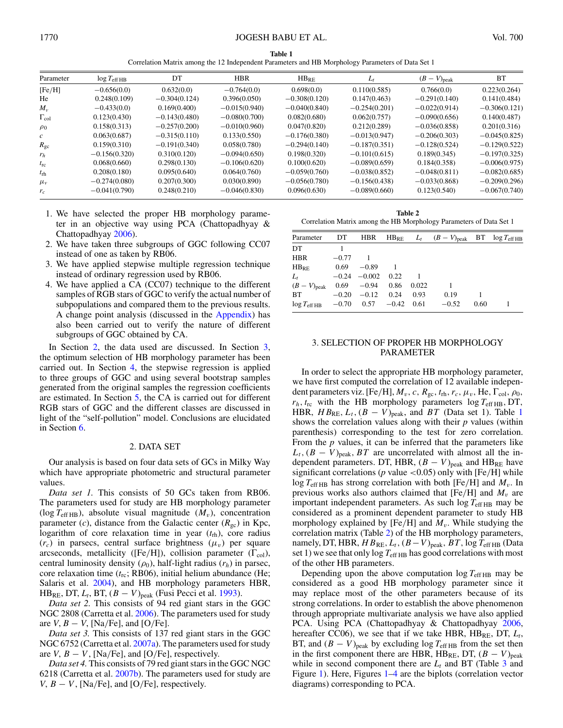**Table 1** Correlation Matrix among the 12 Independent Parameters and HB Morphology Parameters of Data Set 1

<span id="page-2-0"></span>

| Parameter          | $log T_{\text{eff HB}}$ | DT              | <b>HBR</b>      | $HB_{RE}$       | $L_t$           | $(B-V)_{\rm peak}$ | <b>BT</b>       |
|--------------------|-------------------------|-----------------|-----------------|-----------------|-----------------|--------------------|-----------------|
| [Fe/H]             | $-0.656(0.0)$           | 0.632(0.0)      | $-0.764(0.0)$   | 0.698(0.0)      | 0.110(0.585)    | 0.766(0.0)         | 0.223(0.264)    |
| He                 | 0.248(0.109)            | $-0.304(0.124)$ | 0.396(0.050)    | $-0.308(0.120)$ | 0.147(0.463)    | $-0.291(0.140)$    | 0.141(0.484)    |
| $M_{\nu}$          | $-0.433(0.0)$           | 0.169(0.400)    | $-0.015(0.940)$ | $-0.040(0.840)$ | $-0.254(0.201)$ | $-0.022(0.914)$    | $-0.306(0.121)$ |
| $\Gamma_{\rm col}$ | 0.123(0.430)            | $-0.143(0.480)$ | $-0.080(0.700)$ | 0.082(0.680)    | 0.062(0.757)    | $-0.090(0.656)$    | 0.140(0.487)    |
| $\rho_0$           | 0.158(0.313)            | $-0.257(0.200)$ | $-0.010(0.960)$ | 0.047(0.820)    | 0.212(0.289)    | $-0.036(0.858)$    | 0.201(0.316)    |
| $\mathcal{C}$      | 0.063(0.687)            | $-0.315(0.110)$ | 0.133(0.550)    | $-0.176(0.380)$ | $-0.013(0.947)$ | $-0.206(0.303)$    | $-0.045(0.825)$ |
| $R_{\rm gc}$       | 0.159(0.310)            | $-0.191(0.340)$ | 0.058(0.780)    | $-0.294(0.140)$ | $-0.187(0.351)$ | $-0.128(0.524)$    | $-0.129(0.522)$ |
| $r_h$              | $-0.156(0.320)$         | 0.310(0.120)    | $-0.094(0.650)$ | 0.198(0.320)    | $-0.101(0.615)$ | 0.189(0.345)       | $-0.197(0.325)$ |
| $t_{\rm rc}$       | 0.068(0.660)            | 0.298(0.130)    | $-0.106(0.620)$ | 0.100(0.620)    | $-0.089(0.659)$ | 0.184(0.358)       | $-0.006(0.975)$ |
| $t_{\rm rh}$       | 0.208(0.180)            | 0.095(0.640)    | 0.064(0.760)    | $-0.059(0.760)$ | $-0.038(0.852)$ | $-0.048(0.811)$    | $-0.082(0.685)$ |
| $\mu_v$            | $-0.274(0.080)$         | 0.207(0.300)    | 0.030(0.890)    | $-0.056(0.780)$ | $-0.156(0.438)$ | $-0.033(0.868)$    | $-0.209(0.296)$ |
| $r_c$              | $-0.041(0.790)$         | 0.248(0.210)    | $-0.046(0.830)$ | 0.096(0.630)    | $-0.089(0.660)$ | 0.123(0.540)       | $-0.067(0.740)$ |

- 1. We have selected the proper HB morphology parameter in an objective way using PCA (Chattopadhyay & Chattopadhyay [2006\)](#page-10-0).
- 2. We have taken three subgroups of GGC following CC07 instead of one as taken by RB06.
- 3. We have applied stepwise multiple regression technique instead of ordinary regression used by RB06.
- 4. We have applied a CA (CC07) technique to the different samples of RGB stars of GGC to verify the actual number of subpopulations and compared them to the previous results. A change point analysis (discussed in the [Appendix\)](#page-9-0) has also been carried out to verify the nature of different subgroups of GGC obtained by CA.

In Section 2, the data used are discussed. In Section 3, the optimum selection of HB morphology parameter has been carried out. In Section [4,](#page-3-0) the stepwise regression is applied to three groups of GGC and using several bootstrap samples generated from the original samples the regression coefficients are estimated. In Section [5,](#page-7-0) the CA is carried out for different RGB stars of GGC and the different classes are discussed in light of the "self-pollution" model. Conclusions are elucidated in Section [6.](#page-8-0)

## 2. DATA SET

Our analysis is based on four data sets of GCs in Milky Way which have appropriate photometric and structural parameter values.

*Data set 1.* This consists of 50 GCs taken from RB06. The parameters used for study are HB morphology parameter (log  $T_{\text{eff HB}}$ ), absolute visual magnitude  $(M_v)$ , concentration parameter  $(c)$ , distance from the Galactic center  $(R_{gc})$  in Kpc, logarithm of core relaxation time in year  $(t_{\text{rh}})$ , core radius  $(r_c)$  in parsecs, central surface brightness  $(\mu_v)$  per square arcseconds, metallicity ([Fe/H]), collision parameter  $(\Gamma_{col})$ , central luminosity density  $(\rho_0)$ , half-light radius  $(r_h)$  in parsec, core relaxation time  $(t_{\text{rc}}; R B06)$ , initial helium abundance (He; Salaris et al. [2004\)](#page-10-0), and HB morphology parameters HBR, HB<sub>RE</sub>, DT,  $L_t$ , BT,  $(B - V)_{peak}$  (Fusi Pecci et al. [1993\)](#page-10-0).

*Data set 2.* This consists of 94 red giant stars in the GGC NGC 2808 (Carretta et al. [2006\)](#page-9-0). The parameters used for study are  $V, B - V$ , [Na/Fe], and [O/Fe].

*Data set 3.* This consists of 137 red giant stars in the GGC NGC 6752 (Carretta et al. [2007a\)](#page-10-0). The parameters used for study are *V*,  $B - V$ , [Na/Fe], and [O/Fe], respectively.

*Data set 4.* This consists of 79 red giant stars in the GGC NGC 6218 (Carretta et al. [2007b\)](#page-10-0). The parameters used for study are *V*,  $B - V$ , [Na/Fe], and [O/Fe], respectively.

**Table 2** Correlation Matrix among the HB Morphology Parameters of Data Set 1

| Parameter                      | DT      |                |         |       | HBR HB <sub>RE</sub> $L_t$ $(B-V)_{\text{peak}}$ BT $\log T_{\text{eff HB}}$ |      |  |
|--------------------------------|---------|----------------|---------|-------|------------------------------------------------------------------------------|------|--|
| DT                             |         |                |         |       |                                                                              |      |  |
| <b>HBR</b>                     | $-0.77$ |                |         |       |                                                                              |      |  |
| $HB_{RF}$                      | 0.69    | $-0.89$        |         |       |                                                                              |      |  |
| $L_t$                          |         | $-0.24 -0.002$ | 0.22    |       |                                                                              |      |  |
| $(B-V)_{\rm peak}$             |         | $0.69 - 0.94$  | 0.86    | 0.022 |                                                                              |      |  |
| BT                             | $-0.20$ | $-0.12$ 0.24   |         | 0.93  | 0.19                                                                         |      |  |
| $\log T_{\text{eff HB}}$ -0.70 |         | 0.57           | $-0.42$ | 0.61  | $-0.52$                                                                      | 0.60 |  |

## 3. SELECTION OF PROPER HB MORPHOLOGY PARAMETER

In order to select the appropriate HB morphology parameter, we have first computed the correlation of 12 available independent parameters viz. [Fe/H],  $M_v$ , c,  $R_{gc}$ ,  $t_{rh}$ ,  $r_c$ ,  $\mu_v$ , He,  $\Gamma_{col}$ ,  $\rho_0$ ,  $r_h$ ,  $t_{\text{rc}}$  with the HB morphology parameters  $\log T_{\text{eff HB}}$ , DT, HBR,  $HB_{RE}, L_t, (B - V)_{peak}$ , and *BT* (Data set 1). Table 1 shows the correlation values along with their *p* values (within parenthesis) corresponding to the test for zero correlation. From the *p* values, it can be inferred that the parameters like  $L_t$ ,  $(B - V)_{peak}$ , *BT* are uncorrelated with almost all the independent parameters. DT, HBR,  $(B - V)_{peak}$  and HB<sub>RE</sub> have significant correlations (*p* value *<*0.05) only with [Fe*/*H] while  $\log T_{\text{eff HB}}$  has strong correlation with both [Fe/H] and  $M_{\nu}$ . In previous works also authors claimed that  $[Fe/H]$  and  $M_v$  are important independent parameters. As such  $\log T_{\text{eff HB}}$  may be considered as a prominent dependent parameter to study HB morphology explained by [Fe/H] and  $M_v$ . While studying the correlation matrix (Table 2) of the HB morphology parameters, namely, DT, HBR,  $H B_{RE}, L_t$ ,  $(B - V)_{peak}, BT$ , log  $T_{eff\,HB}$  (Data set 1) we see that only  $\log T_{\text{eff HB}}$  has good correlations with most of the other HB parameters.

Depending upon the above computation  $\log T_{\text{eff HB}}$  may be considered as a good HB morphology parameter since it may replace most of the other parameters because of its strong correlations. In order to establish the above phenomenon through appropriate multivariate analysis we have also applied PCA. Using PCA (Chattopadhyay & Chattopadhyay [2006,](#page-10-0) hereafter CC06), we see that if we take HBR,  $HB_{RE}$ , DT,  $L_t$ , BT, and  $(B - V)_{\text{peak}}$  by excluding log  $T_{\text{eff HB}}$  from the set then in the first component there are HBR,  $HB_{RE}$ , DT,  $(B - V)_{peak}$ while in second component there are  $L_t$  and BT (Table [3](#page-3-0) and Figure [1\)](#page-3-0). Here, Figures [1–](#page-3-0)[4](#page-4-0) are the biplots (correlation vector diagrams) corresponding to PCA.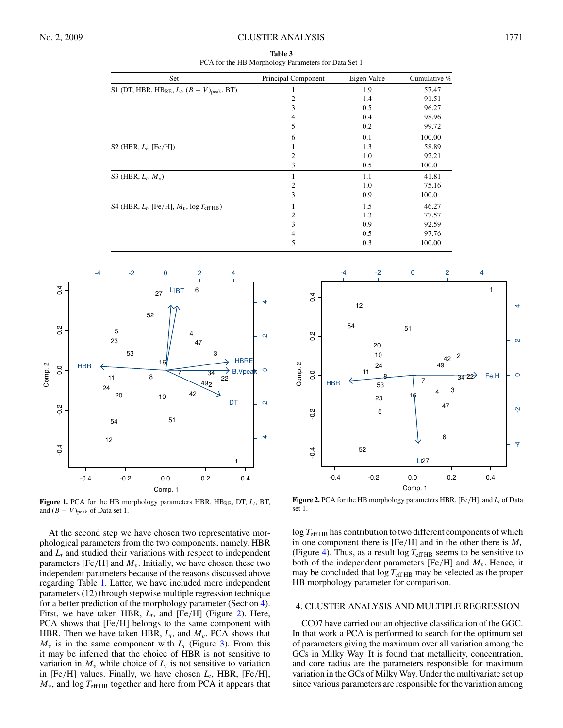#### <span id="page-3-0"></span>No. 2, 2009 CLUSTER ANALYSIS 1771

**Table 3** PCA for the HB Morphology Parameters for Data Set 1

| Set                                                            | Principal Component | Eigen Value | Cumulative % |
|----------------------------------------------------------------|---------------------|-------------|--------------|
| S1 (DT, HBR, HB <sub>RE</sub> , $L_t$ , $(B - V)_{peak}$ , BT) |                     | 1.9         | 57.47        |
|                                                                | 2                   | 1.4         | 91.51        |
|                                                                | 3                   | 0.5         | 96.27        |
|                                                                | 4                   | 0.4         | 98.96        |
|                                                                | 5                   | 0.2         | 99.72        |
|                                                                | 6                   | 0.1         | 100.00       |
| S2 (HBR, $L_t$ , [Fe/H])                                       |                     | 1.3         | 58.89        |
|                                                                | 2                   | 1.0         | 92.21        |
|                                                                | 3                   | 0.5         | 100.0        |
| S3 (HBR, $L_t$ , $M_v$ )                                       |                     | 1.1         | 41.81        |
|                                                                | 2                   | 1.0         | 75.16        |
|                                                                | 3                   | 0.9         | 100.0        |
| S4 (HBR, $L_t$ , [Fe/H], $M_v$ , log $T_{\text{eff HB}}$ )     |                     | 1.5         | 46.27        |
|                                                                | 2                   | 1.3         | 77.57        |
|                                                                | 3                   | 0.9         | 92.59        |
|                                                                | 4                   | 0.5         | 97.76        |
|                                                                | 5                   | 0.3         | 100.00       |



**Figure 1.** PCA for the HB morphology parameters HBR,  $HB_{RE}$ , DT,  $L_t$ , BT, and  $(B - V)_{\text{peak}}$  of Data set 1.

At the second step we have chosen two representative morphological parameters from the two components, namely, HBR and  $L_t$  and studied their variations with respect to independent parameters [Fe/H] and  $M_v$ . Initially, we have chosen these two independent parameters because of the reasons discussed above regarding Table [1.](#page-2-0) Latter, we have included more independent parameters (12) through stepwise multiple regression technique for a better prediction of the morphology parameter (Section 4). First, we have taken HBR,  $L_t$ , and [Fe/H] (Figure 2). Here, PCA shows that [Fe*/*H] belongs to the same component with HBR. Then we have taken HBR,  $L_t$ , and  $M_v$ . PCA shows that  $M_v$  is in the same component with  $L_t$  (Figure [3\)](#page-4-0). From this it may be inferred that the choice of HBR is not sensitive to variation in  $M_v$  while choice of  $L_t$  is not sensitive to variation in [Fe*/*H] values. Finally, we have chosen *Lt*, HBR, [Fe*/*H],  $M<sub>v</sub>$ , and  $\log T<sub>eff HB</sub>$  together and here from PCA it appears that



Figure 2. PCA for the HB morphology parameters HBR, [Fe/H], and  $L_t$  of Data set 1.

 $\log T_{\text{eff HB}}$  has contribution to two different components of which in one component there is  $[Fe/H]$  and in the other there is  $M_v$ (Figure [4\)](#page-4-0). Thus, as a result  $\log T_{\text{eff HB}}$  seems to be sensitive to both of the independent parameters  $[Fe/H]$  and  $M_v$ . Hence, it may be concluded that  $\log T_{\text{eff HB}}$  may be selected as the proper HB morphology parameter for comparison.

## 4. CLUSTER ANALYSIS AND MULTIPLE REGRESSION

CC07 have carried out an objective classification of the GGC. In that work a PCA is performed to search for the optimum set of parameters giving the maximum over all variation among the GCs in Milky Way. It is found that metallicity, concentration, and core radius are the parameters responsible for maximum variation in the GCs of Milky Way. Under the multivariate set up since various parameters are responsible for the variation among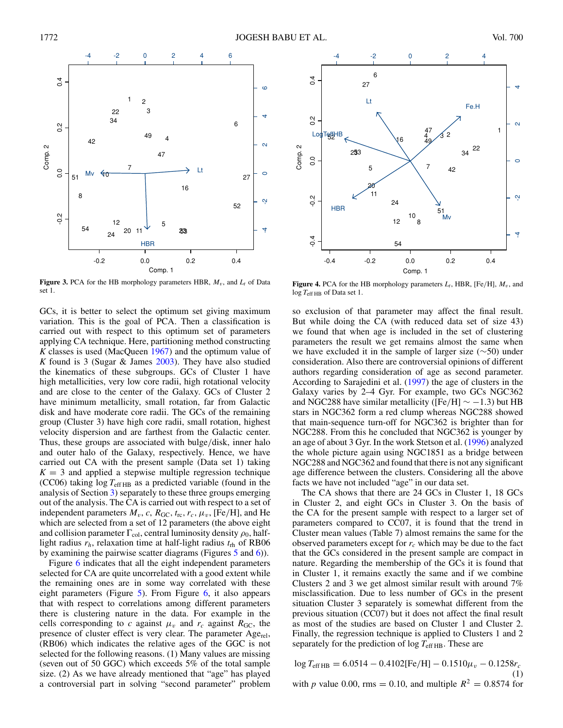<span id="page-4-0"></span>

**Figure 3.** PCA for the HB morphology parameters HBR,  $M_v$ , and  $L_t$  of Data set 1.

GCs, it is better to select the optimum set giving maximum variation. This is the goal of PCA. Then a classification is carried out with respect to this optimum set of parameters applying CA technique. Here, partitioning method constructing *K* classes is used (MacQueen [1967\)](#page-10-0) and the optimum value of *K* found is 3 (Sugar & James [2003\)](#page-10-0). They have also studied the kinematics of these subgroups. GCs of Cluster 1 have high metallicities, very low core radii, high rotational velocity and are close to the center of the Galaxy. GCs of Cluster 2 have minimum metallicity, small rotation, far from Galactic disk and have moderate core radii. The GCs of the remaining group (Cluster 3) have high core radii, small rotation, highest velocity dispersion and are farthest from the Galactic center. Thus, these groups are associated with bulge*/*disk, inner halo and outer halo of the Galaxy, respectively. Hence, we have carried out CA with the present sample (Data set 1) taking  $K = 3$  and applied a stepwise multiple regression technique (CC06) taking  $log T_{effHB}$  as a predicted variable (found in the analysis of Section [3\)](#page-2-0) separately to these three groups emerging out of the analysis. The CA is carried out with respect to a set of independent parameters  $M_v$ , *c*,  $R_{\text{GC}}$ ,  $t_{\text{rc}}$ ,  $r_c$ ,  $\mu_v$ , [Fe/H], and He which are selected from a set of 12 parameters (the above eight and collision parameter  $\Gamma_{\text{col}}$ , central luminosity density  $\rho_0$ , halflight radius  $r_h$ , relaxation time at half-light radius  $t_{rh}$  of RB06 by examining the pairwise scatter diagrams (Figures [5](#page-5-0) and [6\)](#page-5-0)).

Figure [6](#page-5-0) indicates that all the eight independent parameters selected for CA are quite uncorrelated with a good extent while the remaining ones are in some way correlated with these eight parameters (Figure [5\)](#page-5-0). From Figure  $6$ , it also appears that with respect to correlations among different parameters there is clustering nature in the data. For example in the cells corresponding to *c* against  $\mu_v$  and  $r_c$  against  $R_{\text{GC}}$ , the presence of cluster effect is very clear. The parameter  $Age_{rel}$ , (RB06) which indicates the relative ages of the GGC is not selected for the following reasons. (1) Many values are missing (seven out of 50 GGC) which exceeds 5% of the total sample size. (2) As we have already mentioned that "age" has played a controversial part in solving "second parameter" problem



**Figure 4.** PCA for the HB morphology parameters  $L_t$ , HBR, [Fe/H],  $M_v$ , and log  $T_{\text{eff HB}}$  of Data set 1.

so exclusion of that parameter may affect the final result. But while doing the CA (with reduced data set of size 43) we found that when age is included in the set of clustering parameters the result we get remains almost the same when we have excluded it in the sample of larger size (∼50) under consideration. Also there are controversial opinions of different authors regarding consideration of age as second parameter. According to Sarajedini et al. [\(1997\)](#page-10-0) the age of clusters in the Galaxy varies by 2–4 Gyr. For example, two GCs NGC362 and NGC288 have similar metallicity ( $[Fe/H] \sim -1.3$ ) but HB stars in NGC362 form a red clump whereas NGC288 showed that main-sequence turn-off for NGC362 is brighter than for NGC288. From this he concluded that NGC362 is younger by an age of about 3 Gyr. In the work Stetson et al. [\(1996\)](#page-10-0) analyzed the whole picture again using NGC1851 as a bridge between NGC288 and NGC362 and found that there is not any significant age difference between the clusters. Considering all the above facts we have not included "age" in our data set.

The CA shows that there are 24 GCs in Cluster 1, 18 GCs in Cluster 2, and eight GCs in Cluster 3. On the basis of the CA for the present sample with respect to a larger set of parameters compared to CC07, it is found that the trend in Cluster mean values (Table 7) almost remains the same for the observed parameters except for  $r_c$  which may be due to the fact that the GCs considered in the present sample are compact in nature. Regarding the membership of the GCs it is found that in Cluster 1, it remains exactly the same and if we combine Clusters 2 and 3 we get almost similar result with around 7% misclassification. Due to less number of GCs in the present situation Cluster 3 separately is somewhat different from the previous situation (CC07) but it does not affect the final result as most of the studies are based on Cluster 1 and Cluster 2. Finally, the regression technique is applied to Clusters 1 and 2 separately for the prediction of  $\log T_{\text{eff HB}}$ . These are

log 
$$
T_{\text{eff HB}} = 6.0514 - 0.4102 \text{[Fe/H]} - 0.1510 \mu_v - 0.1258 r_c
$$
  
\nwith *p* value 0.00, rms = 0.10, and multiple  $R^2 = 0.8574$  for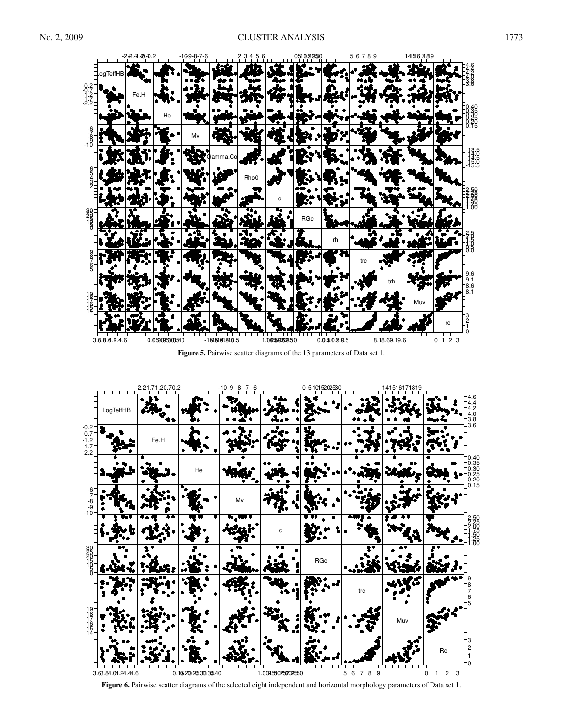<span id="page-5-0"></span>

**Figure 5.** Pairwise scatter diagrams of the 13 parameters of Data set 1.



**Figure 6.** Pairwise scatter diagrams of the selected eight independent and horizontal morphology parameters of Data set 1.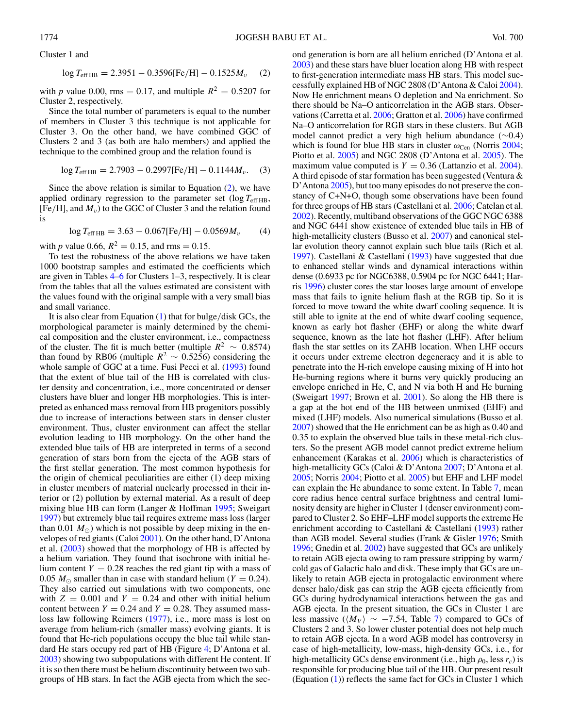<span id="page-6-0"></span>Cluster 1 and

$$
\log T_{\text{eff HB}} = 2.3951 - 0.3596 \text{[Fe/H]} - 0.1525 M_v \quad (2)
$$

with *p* value 0.00, rms = 0.17, and multiple  $R^2 = 0.5207$  for Cluster 2, respectively.

Since the total number of parameters is equal to the number of members in Cluster 3 this technique is not applicable for Cluster 3. On the other hand, we have combined GGC of Clusters 2 and 3 (as both are halo members) and applied the technique to the combined group and the relation found is

$$
\log T_{\text{eff HB}} = 2.7903 - 0.2997 \text{[Fe/H]} - 0.1144 M_v. \quad (3)
$$

Since the above relation is similar to Equation  $(2)$ , we have applied ordinary regression to the parameter set  $(\log T_{\text{eff HB}})$ ,  $[Fe/H]$ , and  $M<sub>v</sub>$ ) to the GGC of Cluster 3 and the relation found is

$$
\log T_{\text{eff HB}} = 3.63 - 0.067 \text{[Fe/H]} - 0.0569 M_v \tag{4}
$$

with *p* value 0.66,  $R^2 = 0.15$ , and rms = 0.15.

To test the robustness of the above relations we have taken 1000 bootstrap samples and estimated the coefficients which are given in Tables [4–6](#page-7-0) for Clusters 1–3, respectively. It is clear from the tables that all the values estimated are consistent with the values found with the original sample with a very small bias and small variance.

It is also clear from Equation [\(1\)](#page-4-0) that for bulge*/*disk GCs, the morphological parameter is mainly determined by the chemical composition and the cluster environment, i.e., compactness of the cluster. The fit is much better (multiple  $R^2 \sim 0.8574$ ) than found by RB06 (multiple  $R^2 \sim 0.5256$ ) considering the whole sample of GGC at a time. Fusi Pecci et al. [\(1993\)](#page-10-0) found that the extent of blue tail of the HB is correlated with cluster density and concentration, i.e., more concentrated or denser clusters have bluer and longer HB morphologies. This is interpreted as enhanced mass removal from HB progenitors possibly due to increase of interactions between stars in denser cluster environment. Thus, cluster environment can affect the stellar evolution leading to HB morphology. On the other hand the extended blue tails of HB are interpreted in terms of a second generation of stars born from the ejecta of the AGB stars of the first stellar generation. The most common hypothesis for the origin of chemical peculiarities are either (1) deep mixing in cluster members of material nuclearly processed in their interior or (2) pollution by external material. As a result of deep mixing blue HB can form (Langer & Hoffman [1995;](#page-10-0) Sweigart [1997\)](#page-10-0) but extremely blue tail requires extreme mass loss (larger than 0.01  $M_{\odot}$ ) which is not possible by deep mixing in the envelopes of red giants (Caloi [2001\)](#page-9-0). On the other hand, D'Antona et al. [\(2003\)](#page-10-0) showed that the morphology of HB is affected by a helium variation. They found that isochrone with initial helium content  $Y = 0.28$  reaches the red giant tip with a mass of 0.05  $M_{\odot}$  smaller than in case with standard helium (*Y* = 0.24). They also carried out simulations with two components, one with  $Z = 0.001$  and  $Y = 0.24$  and other with initial helium content between  $Y = 0.24$  and  $Y = 0.28$ . They assumed massloss law following Reimers [\(1977\)](#page-10-0), i.e., more mass is lost on average from helium-rich (smaller mass) evolving giants. It is found that He-rich populations occupy the blue tail while standard He stars occupy red part of HB (Figure [4;](#page-4-0) D'Antona et al. [2003\)](#page-10-0) showing two subpopulations with different He content. If it is so then there must be helium discontinuity between two subgroups of HB stars. In fact the AGB ejecta from which the sec-

ond generation is born are all helium enriched (D'Antona et al. [2003\)](#page-10-0) and these stars have bluer location along HB with respect to first-generation intermediate mass HB stars. This model successfully explained HB of NGC 2808 (D'Antona & Caloi [2004\)](#page-10-0). Now He enrichment means O depletion and Na enrichment. So there should be Na–O anticorrelation in the AGB stars. Observations (Carretta et al. [2006;](#page-9-0) Gratton et al. [2006\)](#page-10-0) have confirmed Na–O anticorrelation for RGB stars in these clusters. But AGB model cannot predict a very high helium abundance (∼0.4) which is found for blue HB stars in cluster  $ω_{\text{Cen}}$  (Norris [2004;](#page-10-0) Piotto et al. [2005\)](#page-10-0) and NGC 2808 (D'Antona et al. [2005\)](#page-10-0). The maximum value computed is  $Y = 0.36$  (Lattanzio et al. [2004\)](#page-10-0). A third episode of star formation has been suggested (Ventura & D'Antona [2005\)](#page-10-0), but too many episodes do not preserve the constancy of C+N+O, though some observations have been found for three groups of HB stars (Castellani et al. [2006;](#page-10-0) Catelan et al. [2002\)](#page-10-0). Recently, multiband observations of the GGC NGC 6388 and NGC 6441 show existence of extended blue tails in HB of high-metallicity clusters (Busso et al. [2007\)](#page-9-0) and canonical stellar evolution theory cannot explain such blue tails (Rich et al. [1997\)](#page-10-0). Castellani & Castellani [\(1993\)](#page-10-0) have suggested that due to enhanced stellar winds and dynamical interactions within dense (0.6933 pc for NGC6388, 0.5904 pc for NGC 6441; Harris [1996\)](#page-10-0) cluster cores the star looses large amount of envelope mass that fails to ignite helium flash at the RGB tip. So it is forced to move toward the white dwarf cooling sequence. It is still able to ignite at the end of white dwarf cooling sequence, known as early hot flasher (EHF) or along the white dwarf sequence, known as the late hot flasher (LHF). After helium flash the star settles on its ZAHB location. When LHF occurs it occurs under extreme electron degeneracy and it is able to penetrate into the H-rich envelope causing mixing of H into hot He-burning regions where it burns very quickly producing an envelope enriched in He, C, and N via both H and He burning (Sweigart [1997;](#page-10-0) Brown et al. [2001\)](#page-9-0). So along the HB there is a gap at the hot end of the HB between unmixed (EHF) and mixed (LHF) models. Also numerical simulations (Busso et al. [2007\)](#page-9-0) showed that the He enrichment can be as high as 0.40 and 0.35 to explain the observed blue tails in these metal-rich clusters. So the present AGB model cannot predict extreme helium enhancement (Karakas et al. [2006\)](#page-10-0) which is characteristics of high-metallicity GCs (Caloi & D'Antona [2007;](#page-9-0) D'Antona et al. [2005;](#page-10-0) Norris [2004;](#page-10-0) Piotto et al. [2005\)](#page-10-0) but EHF and LHF model can explain the He abundance to some extent. In Table [7,](#page-7-0) mean core radius hence central surface brightness and central luminosity density are higher in Cluster 1 (denser environment) compared to Cluster 2. So EHF–LHF model supports the extreme He enrichment according to Castellani & Castellani [\(1993\)](#page-10-0) rather than AGB model. Several studies (Frank & Gisler [1976;](#page-10-0) Smith [1996;](#page-10-0) Gnedin et al. [2002\)](#page-10-0) have suggested that GCs are unlikely to retain AGB ejecta owing to ram pressure stripping by warm*/* cold gas of Galactic halo and disk. These imply that GCs are unlikely to retain AGB ejecta in protogalactic environment where denser halo*/*disk gas can strip the AGB ejecta efficiently from GCs during hydrodynamical interactions between the gas and AGB ejecta. In the present situation, the GCs in Cluster 1 are less massive ( $\langle M_V \rangle \sim -7.54$ , Table [7\)](#page-7-0) compared to GCs of Clusters 2 and 3. So lower cluster potential does not help much to retain AGB ejecta. In a word AGB model has controversy in case of high-metallicity, low-mass, high-density GCs, i.e., for high-metallicity GCs dense environment (i.e., high  $\rho_0$ , less  $r_c$ ) is responsible for producing blue tail of the HB. Our present result (Equation [\(1\)](#page-4-0)) reflects the same fact for GCs in Cluster 1 which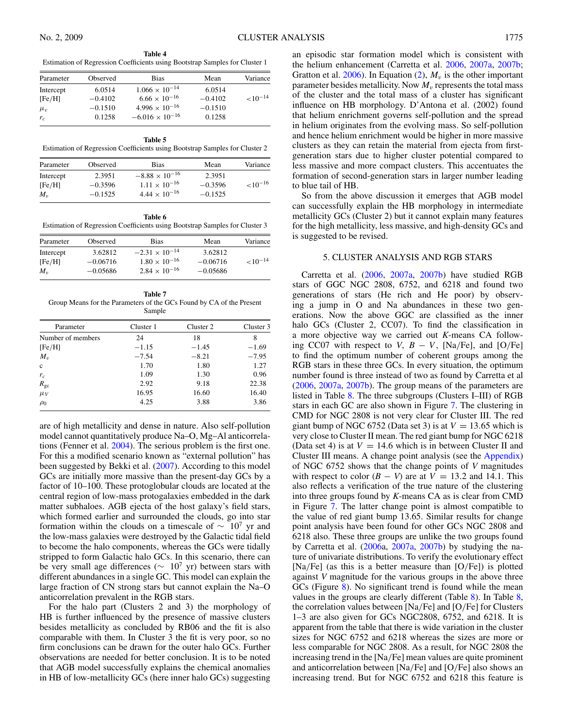<span id="page-7-0"></span>**Table 4** Estimation of Regression Coefficients using Bootstrap Samples for Cluster 1

| Parameter | Observed  | <b>Bias</b>              | Mean      | Variance      |
|-----------|-----------|--------------------------|-----------|---------------|
| Intercept | 6.0514    | $1.066 \times 10^{-14}$  | 6.0514    |               |
| [Fe/H]    | $-0.4102$ | $6.66 \times 10^{-16}$   | $-0.4102$ | ${<}10^{-14}$ |
| $\mu_v$   | $-0.1510$ | $4.996 \times 10^{-16}$  | $-0.1510$ |               |
| $r_c$     | 0.1258    | $-6.016 \times 10^{-16}$ | 0.1258    |               |

**Table 5** Estimation of Regression Coefficients using Bootstrap Samples for Cluster 2

| Parameter | Observed  | <b>Bias</b>             | Mean      | Variance      |
|-----------|-----------|-------------------------|-----------|---------------|
| Intercept | 2.3951    | $-8.88 \times 10^{-16}$ | 2.3951    |               |
| [Fe/H]    | $-0.3596$ | $1.11 \times 10^{-16}$  | $-0.3596$ | ${<}10^{-16}$ |
| $M_{\nu}$ | $-0.1525$ | $4.44 \times 10^{-16}$  | $-0.1525$ |               |

**Table 6** Estimation of Regression Coefficients using Bootstrap Samples for Cluster 3

| Parameter | Observed   | Bias                    | Mean       | Variance      |
|-----------|------------|-------------------------|------------|---------------|
| Intercept | 3.62812    | $-2.31 \times 10^{-14}$ | 3.62812    |               |
| [Fe/H]    | $-0.06716$ | $1.80 \times 10^{-16}$  | $-0.06716$ | ${<}10^{-14}$ |
| $M_{\nu}$ | $-0.05686$ | $2.84 \times 10^{-16}$  | $-0.05686$ |               |

**Table 7** Group Means for the Parameters of the GCs Found by CA of the Present Sample

| Parameter         | Cluster 1 | Cluster 2 | Cluster 3 |
|-------------------|-----------|-----------|-----------|
| Number of members | 24        | 18        | 8         |
| [Fe/H]            | $-1.15$   | $-1.45$   | $-1.69$   |
| $M_{v}$           | $-7.54$   | $-8.21$   | $-7.95$   |
| $\mathbf{c}$      | 1.70      | 1.80      | 1.27      |
| $r_c$             | 1.09      | 1.30      | 0.96      |
| $R_{gc}$          | 2.92      | 9.18      | 22.38     |
| $\mu_V$           | 16.95     | 16.60     | 16.40     |
| $\rho_0$          | 4.25      | 3.88      | 3.86      |

are of high metallicity and dense in nature. Also self-pollution model cannot quantitatively produce Na–O, Mg–Al anticorrelations (Fenner et al. [2004\)](#page-10-0). The serious problem is the first one. For this a modified scenario known as "external pollution" has been suggested by Bekki et al. [\(2007\)](#page-9-0). According to this model GCs are initially more massive than the present-day GCs by a factor of 10–100. These protoglobular clouds are located at the central region of low-mass protogalaxies embedded in the dark matter subhaloes. AGB ejecta of the host galaxy's field stars, which formed earlier and surrounded the clouds, go into star formation within the clouds on a timescale of  $\sim 10^7$  yr and the low-mass galaxies were destroyed by the Galactic tidal field to become the halo components, whereas the GCs were tidally stripped to form Galactic halo GCs. In this scenario, there can be very small age differences ( $\sim 10^7$  yr) between stars with different abundances in a single GC. This model can explain the large fraction of CN strong stars but cannot explain the Na–O anticorrelation prevalent in the RGB stars.

For the halo part (Clusters 2 and 3) the morphology of HB is further influenced by the presence of massive clusters besides metallicity as concluded by RB06 and the fit is also comparable with them. In Cluster 3 the fit is very poor, so no firm conclusions can be drawn for the outer halo GCs. Further observations are needed for better conclusion. It is to be noted that AGB model successfully explains the chemical anomalies in HB of low-metallicity GCs (here inner halo GCs) suggesting

an episodic star formation model which is consistent with the helium enhancement (Carretta et al. [2006,](#page-9-0) [2007a,](#page-10-0) [2007b;](#page-10-0) Gratton et al.  $2006$ ). In Equation [\(2\)](#page-6-0),  $M_v$  is the other important parameter besides metallicity. Now  $M_v$  represents the total mass of the cluster and the total mass of a cluster has significant influence on HB morphology. D'Antona et al. (2002) found that helium enrichment governs self-pollution and the spread in helium originates from the evolving mass. So self-pollution and hence helium enrichment would be higher in more massive clusters as they can retain the material from ejecta from firstgeneration stars due to higher cluster potential compared to less massive and more compact clusters. This accentuates the formation of second-generation stars in larger number leading to blue tail of HB.

So from the above discussion it emerges that AGB model can successfully explain the HB morphology in intermediate metallicity GCs (Cluster 2) but it cannot explain many features for the high metallicity, less massive, and high-density GCs and is suggested to be revised.

## 5. CLUSTER ANALYSIS AND RGB STARS

Carretta et al. [\(2006,](#page-9-0) [2007a,](#page-10-0) [2007b\)](#page-10-0) have studied RGB stars of GGC NGC 2808, 6752, and 6218 and found two generations of stars (He rich and He poor) by observing a jump in O and Na abundances in these two generations. Now the above GGC are classified as the inner halo GCs (Cluster 2, CC07). To find the classification in a more objective way we carried out *K*-means CA following CC07 with respect to *V*,  $B - V$ , [Na/Fe], and [O/Fe] to find the optimum number of coherent groups among the RGB stars in these three GCs. In every situation, the optimum number found is three instead of two as found by Carretta et al [\(2006,](#page-9-0) [2007a,](#page-10-0) [2007b\)](#page-10-0). The group means of the parameters are listed in Table [8.](#page-8-0) The three subgroups (Clusters I–III) of RGB stars in each GC are also shown in Figure [7.](#page-9-0) The clustering in CMD for NGC 2808 is not very clear for Cluster III. The red giant bump of NGC 6752 (Data set 3) is at  $V = 13.65$  which is very close to Cluster II mean. The red giant bump for NGC 6218 (Data set 4) is at  $V = 14.6$  which is in between Cluster II and Cluster III means. A change point analysis (see the [Appendix\)](#page-9-0) of NGC 6752 shows that the change points of *V* magnitudes with respect to color  $(B - V)$  are at  $V = 13.2$  and 14.1. This also reflects a verification of the true nature of the clustering into three groups found by *K*-means CA as is clear from CMD in Figure [7.](#page-9-0) The latter change point is almost compatible to the value of red giant bump 13.65. Similar results for change point analysis have been found for other GCs NGC 2808 and 6218 also. These three groups are unlike the two groups found by Carretta et al. [\(2006a](#page-9-0), [2007a,](#page-10-0) [2007b\)](#page-10-0) by studying the nature of univariate distributions. To verify the evolutionary effect [Na*/*Fe] (as this is a better measure than [O*/*Fe]) is plotted against *V* magnitude for the various groups in the above three GCs (Figure [8\)](#page-9-0). No significant trend is found while the mean values in the groups are clearly different (Table [8\)](#page-8-0). In Table [8,](#page-8-0) the correlation values between [Na*/*Fe] and [O*/*Fe] for Clusters 1–3 are also given for GCs NGC2808, 6752, and 6218. It is apparent from the table that there is wide variation in the cluster sizes for NGC 6752 and 6218 whereas the sizes are more or less comparable for NGC 2808. As a result, for NGC 2808 the increasing trend in the [Na*/*Fe] mean values are quite prominent and anticorrelation between [Na*/*Fe] and [O*/*Fe] also shows an increasing trend. But for NGC 6752 and 6218 this feature is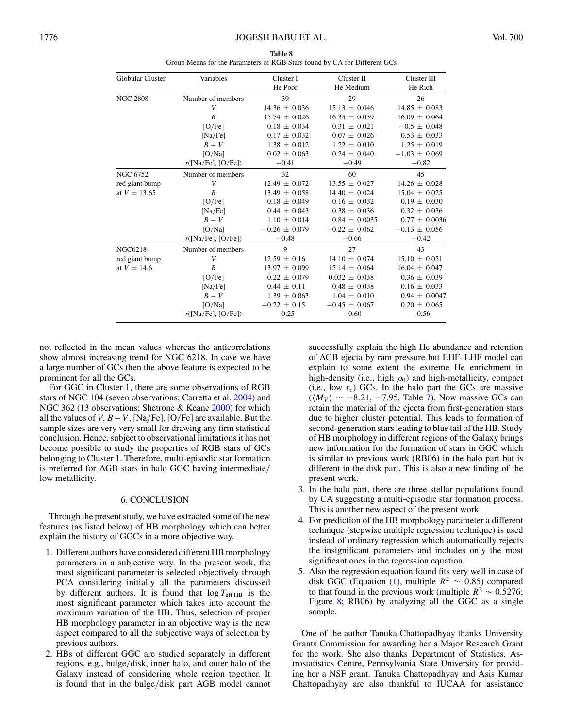| Table 8                                                                   |
|---------------------------------------------------------------------------|
| Group Means for the Parameters of RGB Stars found by CA for Different GCs |

<span id="page-8-0"></span>

| <b>Globular Cluster</b> | Variables          | Cluster I<br>He Poor | Cluster II<br>He Medium | Cluster III<br>He Rich |
|-------------------------|--------------------|----------------------|-------------------------|------------------------|
|                         |                    |                      |                         |                        |
| <b>NGC 2808</b>         | Number of members  | 39                   | 29                      | 26                     |
|                         | V                  | $14.36 \pm 0.036$    | $15.13 \pm 0.046$       | $14.85 \pm 0.083$      |
|                         | B                  | $15.74 \pm 0.026$    | $16.35 \pm 0.039$       | $16.09 \pm 0.064$      |
|                         | [O/Fe]             | $0.18 \pm 0.034$     | $0.31 \pm 0.021$        | $-0.5 \pm 0.048$       |
|                         | [Na/Fe]            | $0.17 \pm 0.032$     | $0.07 \pm 0.026$        | $0.53 \pm 0.033$       |
|                         | $B-V$              | $1.38 \pm 0.012$     | $1.22 \pm 0.010$        | $1.25 \pm 0.019$       |
|                         | [O/Na]             | $0.02 \pm 0.063$     | $0.24 \pm 0.040$        | $-1.03 \pm 0.069$      |
|                         | r([Na/Fe], [O/Fe]) | $-0.41$              | $-0.49$                 | $-0.82$                |
| NGC 6752                | Number of members  | 32                   | 60                      | 45                     |
| red giant bump          | V                  | $12.49 \pm 0.072$    | $13.55 \pm 0.027$       | $14.26 \pm 0.028$      |
| at $V = 13.65$          | B                  | $13.49 \pm 0.058$    | $14.40 \pm 0.024$       | $15.04 \pm 0.025$      |
|                         | [O/Fe]             | $0.18 \pm 0.049$     | $0.16 \pm 0.032$        | $0.19 \pm 0.030$       |
|                         | [Na/Fe]            | $0.44 \pm 0.043$     | $0.38 \pm 0.036$        | $0.32 \pm 0.036$       |
|                         | $B-V$              | $1.10 \pm 0.014$     | $0.84 \pm 0.0035$       | $0.77 \pm 0.0036$      |
|                         | [O/Na]             | $-0.26 \pm 0.079$    | $-0.22 \pm 0.062$       | $-0.13 \pm 0.056$      |
|                         | r([Na/Fe], [O/Fe]) | $-0.48$              | $-0.66$                 | $-0.42$                |
| <b>NGC6218</b>          | Number of members  | 9                    | 27                      | 43                     |
| red giant bump          | V                  | $12.59 \pm 0.16$     | $14.10 \pm 0.074$       | $15.10 \pm 0.051$      |
| at $V = 14.6$           | B                  | $13.97 \pm 0.099$    | $15.14 \pm 0.064$       | $16.04 \pm 0.047$      |
|                         | [O/Fe]             | $0.22 \pm 0.079$     | $0.032 \pm 0.038$       | $0.36 \pm 0.039$       |
|                         | [Na/Fe]            | $0.44 \pm 0.11$      | $0.48 \pm 0.038$        | $0.16 \pm 0.033$       |
|                         | $B-V$              | $1.39 \pm 0.063$     | $1.04 \pm 0.010$        | $0.94 \pm 0.0047$      |
|                         | [O/Na]             | $-0.22 \pm 0.15$     | $-0.45 \pm 0.067$       | $0.20 \pm 0.065$       |
|                         | r([Na/Fe], [O/Fe]) | $-0.25$              | $-0.60$                 | $-0.56$                |

not reflected in the mean values whereas the anticorrelations show almost increasing trend for NGC 6218. In case we have a large number of GCs then the above feature is expected to be prominent for all the GCs.

For GGC in Cluster 1, there are some observations of RGB stars of NGC 104 (seven observations; Carretta et al. [2004\)](#page-9-0) and NGC 362 (13 observations; Shetrone & Keane [2000\)](#page-10-0) for which all the values of *V*,  $B - V$ , [Na/Fe], [O/Fe] are available. But the sample sizes are very very small for drawing any firm statistical conclusion. Hence, subject to observational limitations it has not become possible to study the properties of RGB stars of GCs belonging to Cluster 1. Therefore, multi-episodic star formation is preferred for AGB stars in halo GGC having intermediate*/* low metallicity.

### 6. CONCLUSION

Through the present study, we have extracted some of the new features (as listed below) of HB morphology which can better explain the history of GGCs in a more objective way.

- 1. Different authors have considered different HB morphology parameters in a subjective way. In the present work, the most significant parameter is selected objectively through PCA considering initially all the parameters discussed by different authors. It is found that  $\log T_{\text{eff HB}}$  is the most significant parameter which takes into account the maximum variation of the HB. Thus, selection of proper HB morphology parameter in an objective way is the new aspect compared to all the subjective ways of selection by previous authors.
- 2. HBs of different GGC are studied separately in different regions, e.g., bulge*/*disk, inner halo, and outer halo of the Galaxy instead of considering whole region together. It is found that in the bulge*/*disk part AGB model cannot

successfully explain the high He abundance and retention of AGB ejecta by ram pressure but EHF–LHF model can explain to some extent the extreme He enrichment in high-density (i.e., high  $\rho_0$ ) and high-metallicity, compact (i.e., low  $r_c$ ) GCs. In the halo part the GCs are massive  $(\langle M_V \rangle \sim -8.21, -7.95,$  Table [7\)](#page-7-0). Now massive GCs can retain the material of the ejecta from first-generation stars due to higher cluster potential. This leads to formation of second-generation stars leading to blue tail of the HB. Study of HB morphology in different regions of the Galaxy brings new information for the formation of stars in GGC which is similar to previous work (RB06) in the halo part but is different in the disk part. This is also a new finding of the present work.

- 3. In the halo part, there are three stellar populations found by CA suggesting a multi-episodic star formation process. This is another new aspect of the present work.
- 4. For prediction of the HB morphology parameter a different technique (stepwise multiple regression technique) is used instead of ordinary regression which automatically rejects the insignificant parameters and includes only the most significant ones in the regression equation.
- 5. Also the regression equation found fits very well in case of disk GGC (Equation [\(1\)](#page-4-0), multiple  $R^2 \sim 0.85$ ) compared to that found in the previous work (multiple  $R^2 \sim 0.5276$ ; Figure [8;](#page-9-0) RB06) by analyzing all the GGC as a single sample.

One of the author Tanuka Chattopadhyay thanks University Grants Commission for awarding her a Major Research Grant for the work. She also thanks Department of Statistics, Astrostatistics Centre, Pennsylvania State University for providing her a NSF grant. Tanuka Chattopadhyay and Asis Kumar Chattopadhyay are also thankful to IUCAA for assistance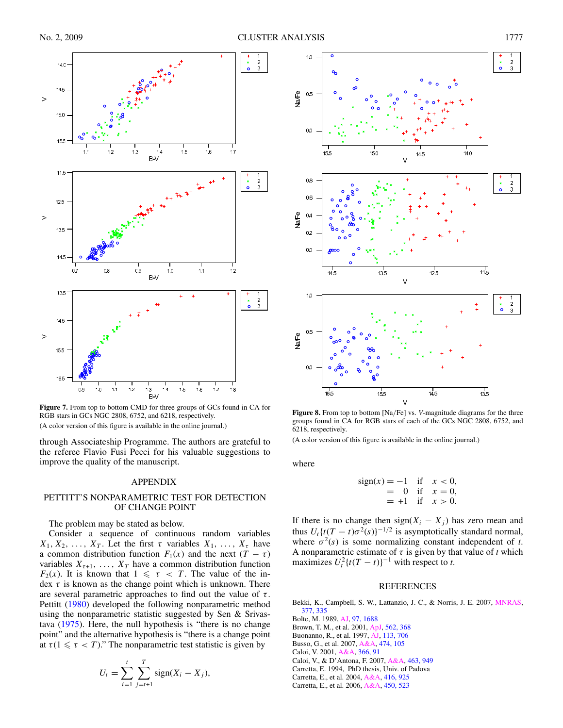<span id="page-9-0"></span>

**Figure 7.** From top to bottom CMD for three groups of GCs found in CA for RGB stars in GCs NGC 2808, 6752, and 6218, respectively.

(A color version of this figure is available in the online journal.)

through Associateship Programme. The authors are grateful to the referee Flavio Fusi Pecci for his valuable suggestions to improve the quality of the manuscript.

## APPENDIX

## PETTITT'S NONPARAMETRIC TEST FOR DETECTION OF CHANGE POINT

The problem may be stated as below.

Consider a sequence of continuous random variables  $X_1, X_2, \ldots, X_T$ . Let the first  $\tau$  variables  $X_1, \ldots, X_{\tau}$  have a common distribution function  $F_1(x)$  and the next  $(T - \tau)$ variables  $X_{\tau+1}$ , ...,  $X_T$  have a common distribution function *F*<sub>2</sub>(*x*). It is known that  $1 \le \tau < T$ . The value of the index *τ* is known as the change point which is unknown. There are several parametric approaches to find out the value of *τ* . Pettitt [\(1980\)](#page-10-0) developed the following nonparametric method using the nonparametric statistic suggested by Sen & Srivastava [\(1975\)](#page-10-0). Here, the null hypothesis is "there is no change point" and the alternative hypothesis is "there is a change point at  $\tau (1 \leq \tau < T)$ ." The nonparametric test statistic is given by

$$
U_t = \sum_{i=1}^t \sum_{j=t+1}^T sign(X_i - X_j),
$$



**Figure 8.** From top to bottom [Na*/*Fe] vs. *V*-magnitude diagrams for the three groups found in CA for RGB stars of each of the GCs NGC 2808, 6752, and 6218, respectively.

(A color version of this figure is available in the online journal.)

where

sign(x) = -1 if 
$$
x < 0
$$
,  
= 0 if  $x = 0$ ,  
= +1 if  $x > 0$ .

If there is no change then  $sign(X_i - X_j)$  has zero mean and thus  $U_t\{t(T - t)\sigma^2(s)\}^{-1/2}$  is asymptotically standard normal, where  $\sigma^2(s)$  is some normalizing constant independent of *t*. A nonparametric estimate of  $\tau$  is given by that value of  $t$  which maximizes  $U_t^2$  {*t*(*T* − *t*)}<sup>-1</sup> with respect to *t*.

#### REFERENCES

Bekki, K., Campbell, S. W., Lattanzio, J. C., & Norris, J. E. 2007, [MNRAS,](http://dx.doi.org/10.1111/j.1365-2966.2007.11606.x) [377, 335](http://adsabs.harvard.edu/cgi-bin/bib_query?2007MNRAS.377..335B)

Bolte, M. 1989, [AJ,](http://dx.doi.org/10.1086/115106) [97, 1688](http://adsabs.harvard.edu/cgi-bin/bib_query?1989AJ.....97.1688B)

- Brown, T. M., et al. 2001, [ApJ,](http://dx.doi.org/10.1086/323862) [562, 368](http://adsabs.harvard.edu/cgi-bin/bib_query?2001ApJ...562..368B)
- Buonanno, R., et al. 1997, [AJ,](http://dx.doi.org/10.1086/118289) [113, 706](http://adsabs.harvard.edu/cgi-bin/bib_query?1997AJ....113..706B)
- Busso, G., et al. 2007, [A&A,](http://dx.doi.org/10.1051/0004-6361:20077806) [474, 105](http://adsabs.harvard.edu/cgi-bin/bib_query?2007A&A...474..105B)

Caloi, V. 2001, [A&A,](http://dx.doi.org/10.1051/0004-6361:20000210) [366, 91](http://adsabs.harvard.edu/cgi-bin/bib_query?2001A&A...366...91C)

Caloi, V., & D'Antona, F. 2007, [A&A,](http://dx.doi.org/10.1051/0004-6361:20066074) [463, 949](http://adsabs.harvard.edu/cgi-bin/bib_query?2007A&A...463..949C)

- Carretta, E. 1994, PhD thesis, Univ. of Padova
	- Carretta, E., et al. 2004, [A&A,](http://dx.doi.org/10.1051/0004-6361:20034370) [416, 925](http://adsabs.harvard.edu/cgi-bin/bib_query?2004A&A...416..925C)
	- Carretta, E., et al. 2006, [A&A,](http://dx.doi.org/10.1051/0004-6361:20054369) [450, 523](http://adsabs.harvard.edu/cgi-bin/bib_query?2006A&A...450..523C)